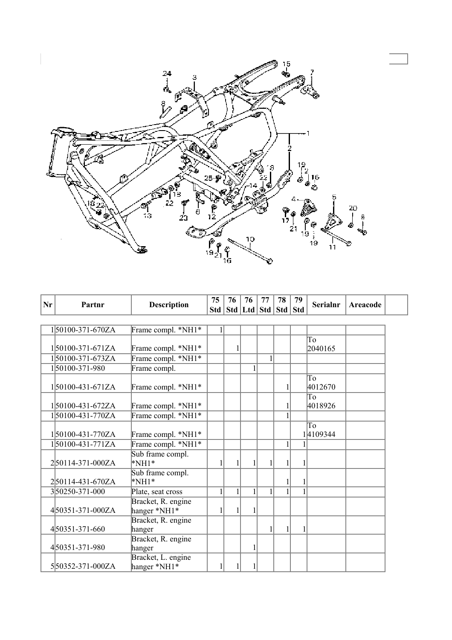

| Nr | Partnr              | <b>Description</b>                 | 75 | 76           | 76                                | 77           | 78 | 79 | <b>Serialnr</b> | Areacode |  |
|----|---------------------|------------------------------------|----|--------------|-----------------------------------|--------------|----|----|-----------------|----------|--|
|    |                     |                                    |    |              | Std   Std   Ltd   Std   Std   Std |              |    |    |                 |          |  |
|    |                     |                                    |    |              |                                   |              |    |    |                 |          |  |
|    | 150100-371-670ZA    | Frame compl. *NH1*                 |    |              |                                   |              |    |    |                 |          |  |
|    | $1 50100-371-671ZA$ | Frame compl. *NH1*                 |    | 1            |                                   |              |    |    | To<br>2040165   |          |  |
|    | 150100-371-673ZA    | Frame compl. *NH1*                 |    |              |                                   | $\mathbf{1}$ |    |    |                 |          |  |
|    | 150100-371-980      | Frame compl.                       |    |              | $\mathbf{1}$                      |              |    |    |                 |          |  |
|    | $1 50100-431-671ZA$ | Frame compl. *NH1*                 |    |              |                                   |              |    |    | To<br>4012670   |          |  |
|    | 150100-431-672ZA    | Frame compl. *NH1*                 |    |              |                                   |              |    |    | To<br>4018926   |          |  |
|    | 150100-431-770ZA    | Frame compl. *NH1*                 |    |              |                                   |              |    |    |                 |          |  |
|    | 150100-431-770ZA    | Frame compl. *NH1*                 |    |              |                                   |              |    |    | To<br>14109344  |          |  |
|    | $1 50100-431-771ZA$ | Frame compl. *NH1*                 |    |              |                                   |              | 1  |    |                 |          |  |
|    | 250114-371-000ZA    | Sub frame compl.<br>$*NH1*$        |    | 1            |                                   |              |    |    |                 |          |  |
|    | 250114-431-670ZA    | Sub frame compl.<br>$*NH1*$        |    |              |                                   |              |    | 1  |                 |          |  |
|    | 350250-371-000      | Plate, seat cross                  |    | $\mathbf{1}$ |                                   |              |    |    |                 |          |  |
|    | 450351-371-000ZA    | Bracket, R. engine<br>hanger *NH1* |    | 1            |                                   |              |    |    |                 |          |  |
|    | 450351-371-660      | Bracket, R. engine<br>hanger       |    |              |                                   |              | 1  |    |                 |          |  |
|    | 450351-371-980      | Bracket, R. engine<br>hanger       |    |              | 1                                 |              |    |    |                 |          |  |
|    | 550352-371-000ZA    | Bracket, L. engine<br>hanger *NH1* |    | 1            | 1                                 |              |    |    |                 |          |  |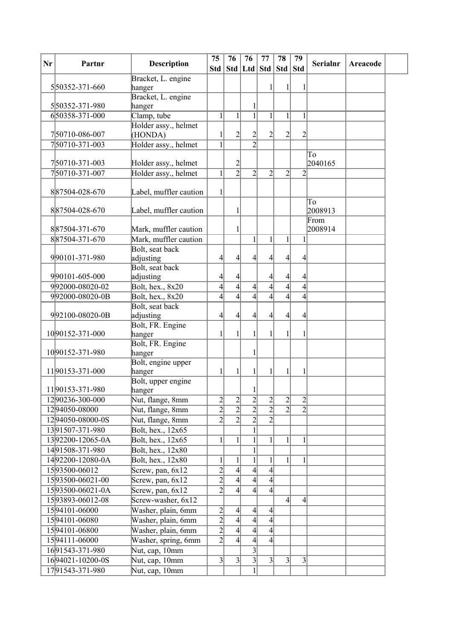| Nr | Partnr           | <b>Description</b>           | 75                               | 76                                             | 76                               | 77                               | 78                               | 79                               | <b>Serialnr</b> | Areacode |  |
|----|------------------|------------------------------|----------------------------------|------------------------------------------------|----------------------------------|----------------------------------|----------------------------------|----------------------------------|-----------------|----------|--|
|    |                  |                              | Std                              |                                                |                                  |                                  | Std   Ltd   Std   Std            | <b>Std</b>                       |                 |          |  |
|    |                  | Bracket, L. engine           |                                  |                                                |                                  |                                  |                                  |                                  |                 |          |  |
|    | 550352-371-660   | hanger                       |                                  |                                                |                                  |                                  |                                  |                                  |                 |          |  |
|    | 550352-371-980   | Bracket, L. engine<br>hanger |                                  |                                                |                                  |                                  |                                  |                                  |                 |          |  |
|    | 650358-371-000   | Clamp, tube                  | $\mathbf{1}$                     | $\mathbf{1}$                                   | $\overline{1}$                   | 1                                | $\mathbf{1}$                     | $\mathbf{1}$                     |                 |          |  |
|    |                  | Holder assy., helmet         |                                  |                                                |                                  |                                  |                                  |                                  |                 |          |  |
|    | 750710-086-007   | (HONDA)                      | 1                                | $\overline{2}$                                 | $\overline{c}$                   | 2                                | $\overline{2}$                   | $\overline{2}$                   |                 |          |  |
|    | 750710-371-003   | Holder assy., helmet         | $\mathbf{1}$                     |                                                | $\overline{2}$                   |                                  |                                  |                                  |                 |          |  |
|    |                  |                              |                                  |                                                |                                  |                                  |                                  |                                  | To              |          |  |
|    | 750710-371-003   | Holder assy., helmet         |                                  | $\overline{c}$                                 |                                  |                                  |                                  |                                  | 2040165         |          |  |
|    | 750710-371-007   | Holder assy., helmet         | $\mathbf{1}$                     | $\overline{2}$                                 | $\overline{2}$                   | $\overline{2}$                   | $\overline{2}$                   | $\overline{2}$                   |                 |          |  |
|    |                  |                              |                                  |                                                |                                  |                                  |                                  |                                  |                 |          |  |
|    | 887504-028-670   | Label, muffler caution       | $\mathbf{1}$                     |                                                |                                  |                                  |                                  |                                  |                 |          |  |
|    |                  |                              |                                  |                                                |                                  |                                  |                                  |                                  | To              |          |  |
|    | 887504-028-670   | Label, muffler caution       |                                  |                                                |                                  |                                  |                                  |                                  | 2008913         |          |  |
|    |                  |                              |                                  |                                                |                                  |                                  |                                  |                                  | From            |          |  |
|    | 887504-371-670   | Mark, muffler caution        |                                  | 1                                              |                                  |                                  |                                  |                                  | 2008914         |          |  |
|    | 887504-371-670   | Mark, muffler caution        |                                  |                                                | $\mathbf{1}$                     | 1                                | $\mathbf{1}$                     | $\mathbf{1}$                     |                 |          |  |
|    |                  | Bolt, seat back              |                                  |                                                |                                  |                                  |                                  |                                  |                 |          |  |
|    | 990101-371-980   | adjusting                    | 4                                | $\left 4\right $                               | 4                                | $\left 4\right $                 | $\left 4\right $                 | $\overline{4}$                   |                 |          |  |
|    |                  | Bolt, seat back              |                                  |                                                |                                  |                                  |                                  |                                  |                 |          |  |
|    | 990101-605-000   | adjusting                    | 4                                | $\frac{4}{ }$                                  |                                  | 4                                | $\frac{4}{3}$                    | 4                                |                 |          |  |
|    | 992000-08020-02  | Bolt, hex., 8x20             | $\overline{4}$                   | $\overline{4}$                                 | $\overline{4}$                   | $\overline{4}$                   | $\overline{4}$                   | $\overline{4}$                   |                 |          |  |
|    | 992000-08020-0B  | Bolt, hex., 8x20             | $\overline{4}$                   | $\overline{4}$                                 | 4                                | $\overline{4}$                   | $\left 4\right $                 | $\left 4\right $                 |                 |          |  |
|    |                  | Bolt, seat back              |                                  |                                                |                                  |                                  |                                  |                                  |                 |          |  |
|    | 992100-08020-0B  | adjusting                    | 4                                | 4                                              | 4                                | 4                                | $\left 4\right $                 | $\overline{4}$                   |                 |          |  |
|    |                  | Bolt, FR. Engine             |                                  |                                                |                                  |                                  |                                  |                                  |                 |          |  |
|    | 1090152-371-000  | hanger                       | 1                                |                                                | 1                                |                                  | $\mathbf{1}$                     | 1                                |                 |          |  |
|    |                  | Bolt, FR. Engine             |                                  |                                                |                                  |                                  |                                  |                                  |                 |          |  |
|    | 1090152-371-980  | hanger                       |                                  |                                                | $\mathbf{1}$                     |                                  |                                  |                                  |                 |          |  |
|    |                  | Bolt, engine upper           |                                  |                                                |                                  |                                  |                                  |                                  |                 |          |  |
|    | 1190153-371-000  | hanger                       | 1                                | 1                                              | 1                                |                                  | 1                                | 1                                |                 |          |  |
|    | 1190153-371-980  | Bolt, upper engine           |                                  |                                                | $\mathbf{1}$                     |                                  |                                  |                                  |                 |          |  |
|    | 1290236-300-000  | hanger                       |                                  |                                                |                                  |                                  |                                  |                                  |                 |          |  |
|    |                  | Nut, flange, 8mm             | $\overline{2}$<br>$\overline{2}$ | $\left  \frac{2}{2} \right $<br>$\overline{2}$ | $\overline{c}$<br>$\overline{2}$ | $\overline{2}$<br>$\overline{2}$ | $\overline{2}$<br>$\overline{2}$ | $\overline{2}$<br>$\overline{2}$ |                 |          |  |
|    | 1294050-08000    | Nut, flange, 8mm             | $\overline{2}$                   | $\overline{2}$                                 | $\overline{2}$                   | $\overline{2}$                   |                                  |                                  |                 |          |  |
|    | 1294050-08000-0S | Nut, flange, 8mm             |                                  |                                                |                                  |                                  |                                  |                                  |                 |          |  |
|    | 1391507-371-980  | Bolt, hex., 12x65            |                                  |                                                | 1                                |                                  |                                  |                                  |                 |          |  |
|    | 1392200-12065-0A | Bolt, hex., 12x65            | $\mathbf{1}$                     | $\mathbf{1}$                                   | $\mathbf{1}$                     | 1                                | $\mathbf{1}$                     | 1                                |                 |          |  |
|    | 1491508-371-980  | Bolt, hex., 12x80            |                                  |                                                |                                  |                                  |                                  |                                  |                 |          |  |
|    | 1492200-12080-0A | Bolt, hex., 12x80            | 1                                | 1                                              | $\mathbf{1}$                     | 1                                | 1                                | 1                                |                 |          |  |
|    | 1593500-06012    | Screw, pan, 6x12             | $\overline{2}$                   | $\overline{4}$                                 | $\overline{4}$                   | $\left 4\right $                 |                                  |                                  |                 |          |  |
|    | 1593500-06021-00 | Screw, pan, 6x12             | $\overline{2}$                   | $\overline{4}$                                 | $\overline{4}$                   | $\vert 4 \vert$                  |                                  |                                  |                 |          |  |
|    | 1593500-06021-0A | Screw, pan, 6x12             | $\overline{2}$                   | $\overline{4}$                                 | 4                                | $\vert 4 \vert$                  |                                  |                                  |                 |          |  |
|    | 1593893-06012-08 | Screw-washer, 6x12           |                                  |                                                |                                  |                                  | $\left 4\right $                 | $\left 4\right $                 |                 |          |  |
|    | 1594101-06000    | Washer, plain, 6mm           | $\overline{2}$                   | $\left 4\right $                               | $\left 4\right $                 | $\vert 4 \vert$                  |                                  |                                  |                 |          |  |
|    | 1594101-06080    | Washer, plain, 6mm           | $\overline{2}$                   | $\overline{4}$                                 | $\overline{4}$                   | $\left 4\right $                 |                                  |                                  |                 |          |  |
|    | 1594101-06800    | Washer, plain, 6mm           | $\overline{2}$                   | $\overline{4}$                                 | $\overline{4}$                   | $\vert 4 \vert$                  |                                  |                                  |                 |          |  |
|    | 1594111-06000    | Washer, spring, 6mm          | $\overline{2}$                   | $\overline{4}$                                 | $\left 4\right $                 | $\vert 4 \vert$                  |                                  |                                  |                 |          |  |
|    | 1691543-371-980  | Nut, cap, 10mm               |                                  |                                                | $\overline{3}$                   |                                  |                                  |                                  |                 |          |  |
|    | 1694021-10200-0S | Nut, cap, 10mm               | $\overline{3}$                   | $3\vert$                                       | $\overline{3}$                   | $\vert 3 \vert$                  | $3\vert$                         | 3                                |                 |          |  |
|    | 1791543-371-980  | Nut, cap, 10mm               |                                  |                                                |                                  |                                  |                                  |                                  |                 |          |  |